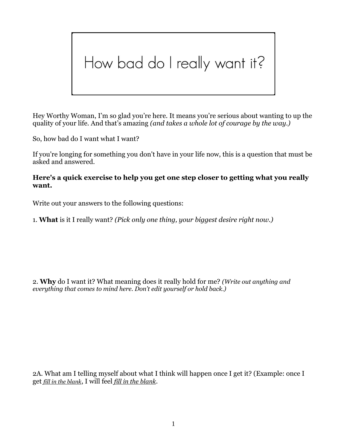## How bad do I really want it?

Hey Worthy Woman, I'm so glad you're here. It means you're serious about wanting to up the quality of your life. And that's amazing *(and takes a whole lot of courage by the way.)*

So, how bad do I want what I want?

If you're longing for something you don't have in your life now, this is a question that must be asked and answered.

## **Here's a quick exercise to help you get one step closer to getting what you really want.**

Write out your answers to the following questions:

1. **What** is it I really want? *(Pick only one thing, your biggest desire right now.)*

2. **Why** do I want it? What meaning does it really hold for me? *(Write out anything and everything that comes to mind here. Don't edit yourself or hold back.)*

2A. What am I telling myself about what I think will happen once I get it? (Example: once I get *fill in the blank*, I will feel *fill in the blank*.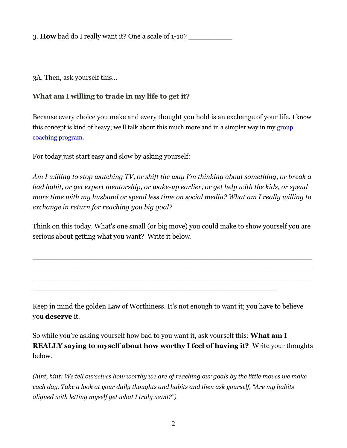3. **How** bad do I really want it? One a scale of 1-10?

3A. Then, ask yourself this…

## **What am I willing to trade in my life to get it?**

Because every choice you make and every thought you hold is an exchange of your life. I know this concept is kind of heavy; we'll talk about this much more and in a simpler way in my [group](http://www.yourworthyself.com/#!worthy-nation/cy0o)  [coaching program.](http://www.yourworthyself.com/#!worthy-nation/cy0o)

For today just start easy and slow by asking yourself:

*Am I willing to stop watching TV, or shift the way I'm thinking about something, or break a bad habit, or get expert mentorship, or wake-up earlier, or get help with the kids, or spend more time with my husband or spend less time on social media? What am I really willing to exchange in return for reaching you big goal?*

Think on this today. What's one small (or big move) you could make to show yourself you are serious about getting what you want? Write it below.

\_\_\_\_\_\_\_\_\_\_\_\_\_\_\_\_\_\_\_\_\_\_\_\_\_\_\_\_\_\_\_\_\_\_\_\_\_\_\_\_\_\_\_\_\_\_\_\_\_\_\_\_\_\_\_\_\_\_\_\_\_\_\_\_ \_\_\_\_\_\_\_\_\_\_\_\_\_\_\_\_\_\_\_\_\_\_\_\_\_\_\_\_\_\_\_\_\_\_\_\_\_\_\_\_\_\_\_\_\_\_\_\_\_\_\_\_\_\_\_\_\_\_\_\_\_\_\_\_ \_\_\_\_\_\_\_\_\_\_\_\_\_\_\_\_\_\_\_\_\_\_\_\_\_\_\_\_\_\_\_\_\_\_\_\_\_\_\_\_\_\_\_\_\_\_\_\_\_\_\_\_\_\_\_\_\_\_\_\_\_\_\_\_

Keep in mind the golden Law of Worthiness. It's not enough to want it; you have to believe you **deserve** it.

\_\_\_\_\_\_\_\_\_\_\_\_\_\_\_\_\_\_\_\_\_\_\_\_\_\_\_\_\_\_\_\_\_\_\_\_\_\_\_\_\_\_\_\_\_\_\_\_\_\_\_\_\_\_\_\_

So while you're asking yourself how bad to you want it, ask yourself this: **What am I REALLY saying to myself about how worthy I feel of having it?** Write your thoughts below.

*(hint, hint: We tell ourselves how worthy we are of reaching our goals by the little moves we make each day. Take a look at your daily thoughts and habits and then ask yourself, "Are my habits aligned with letting myself get what I truly want?")*